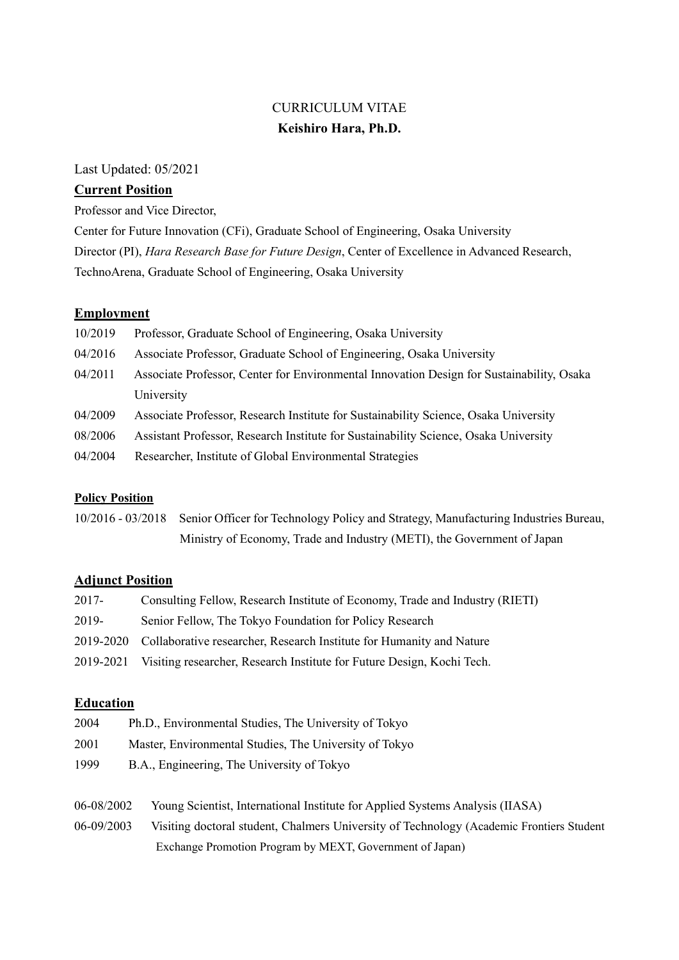# CURRICULUM VITAE **Keishiro Hara, Ph.D.**

Last Updated: 05/2021

### **Current Position**

Professor and Vice Director,

Center for Future Innovation (CFi), Graduate School of Engineering, Osaka University

Director (PI), *Hara Research Base for Future Design*, Center of Excellence in Advanced Research,

TechnoArena, Graduate School of Engineering, Osaka University

### **Employment**

| 10/2019 | Professor, Graduate School of Engineering, Osaka University                               |
|---------|-------------------------------------------------------------------------------------------|
| 04/2016 | Associate Professor, Graduate School of Engineering, Osaka University                     |
| 04/2011 | Associate Professor, Center for Environmental Innovation Design for Sustainability, Osaka |
|         | University                                                                                |
| 04/2009 | Associate Professor, Research Institute for Sustainability Science, Osaka University      |
| 08/2006 | Assistant Professor, Research Institute for Sustainability Science, Osaka University      |
| 04/2004 | Researcher, Institute of Global Environmental Strategies                                  |

### **Policy Position**

10/2016 - 03/2018 Senior Officer for Technology Policy and Strategy, Manufacturing Industries Bureau, Ministry of Economy, Trade and Industry (METI), the Government of Japan

### **Adjunct Position**

| 2017- | Consulting Fellow, Research Institute of Economy, Trade and Industry (RIETI)     |
|-------|----------------------------------------------------------------------------------|
| 2019- | Senior Fellow, The Tokyo Foundation for Policy Research                          |
|       | 2019-2020 Collaborative researcher, Research Institute for Humanity and Nature   |
|       | 2019-2021 Visiting researcher, Research Institute for Future Design, Kochi Tech. |

### **Education**

| 2004 | Ph.D., Environmental Studies, The University of Tokyo  |
|------|--------------------------------------------------------|
| 2001 | Master, Environmental Studies, The University of Tokyo |
| 1999 | B.A., Engineering, The University of Tokyo             |

06-08/2002 Young Scientist, International Institute for Applied Systems Analysis (IIASA) 06-09/2003 Visiting doctoral student, Chalmers University of Technology (Academic Frontiers Student Exchange Promotion Program by MEXT, Government of Japan)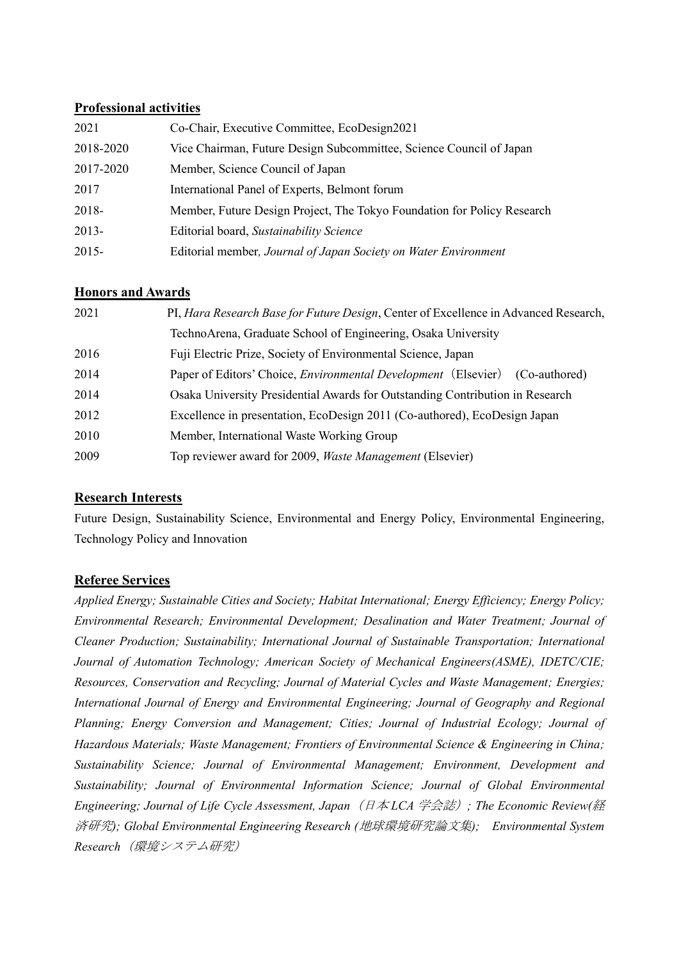### **Professional activities**

| 2021      | Co-Chair, Executive Committee, EcoDesign2021                            |
|-----------|-------------------------------------------------------------------------|
| 2018-2020 | Vice Chairman, Future Design Subcommittee, Science Council of Japan     |
| 2017-2020 | Member, Science Council of Japan                                        |
| 2017      | International Panel of Experts, Belmont forum                           |
| 2018-     | Member, Future Design Project, The Tokyo Foundation for Policy Research |
| $2013 -$  | Editorial board, Sustainability Science                                 |
| $2015 -$  | Editorial member, Journal of Japan Society on Water Environment         |

## **Honors and Awards**

| 2021 | PI, Hara Research Base for Future Design, Center of Excellence in Advanced Research,   |
|------|----------------------------------------------------------------------------------------|
|      | TechnoArena, Graduate School of Engineering, Osaka University                          |
| 2016 | Fuji Electric Prize, Society of Environmental Science, Japan                           |
| 2014 | Paper of Editors' Choice, <i>Environmental Development</i> (Elsevier)<br>(Co-authored) |
| 2014 | Osaka University Presidential Awards for Outstanding Contribution in Research          |
| 2012 | Excellence in presentation, EcoDesign 2011 (Co-authored), EcoDesign Japan              |
| 2010 | Member, International Waste Working Group                                              |
| 2009 | Top reviewer award for 2009, Waste Management (Elsevier)                               |

## **Research Interests**

Future Design, Sustainability Science, Environmental and Energy Policy, Environmental Engineering, Technology Policy and Innovation

## **Referee Services**

*Applied Energy; Sustainable Cities and Society; Habitat International; Energy Efficiency; Energy Policy; Environmental Research; Environmental Development; Desalination and Water Treatment; Journal of Cleaner Production; Sustainability; International Journal of Sustainable Transportation; International Journal of Automation Technology; American Society of Mechanical Engineers(ASME), IDETC/CIE; Resources, Conservation and Recycling; Journal of Material Cycles and Waste Management; Energies; International Journal of Energy and Environmental Engineering; Journal of Geography and Regional Planning; Energy Conversion and Management; Cities; Journal of Industrial Ecology; Journal of Hazardous Materials; Waste Management; Frontiers of Environmental Science & Engineering in China; Sustainability Science; Journal of Environmental Management; Environment, Development and Sustainability; Journal of Environmental Information Science; Journal of Global Environmental Engineering; Journal of Life Cycle Assessment, Japan*(日本 *LCA* 学会誌)*; The Economic Review(*経 済研究*); Global Environmental Engineering Research (*地球環境研究論文集*); Environmental System Research*(環境システム研究)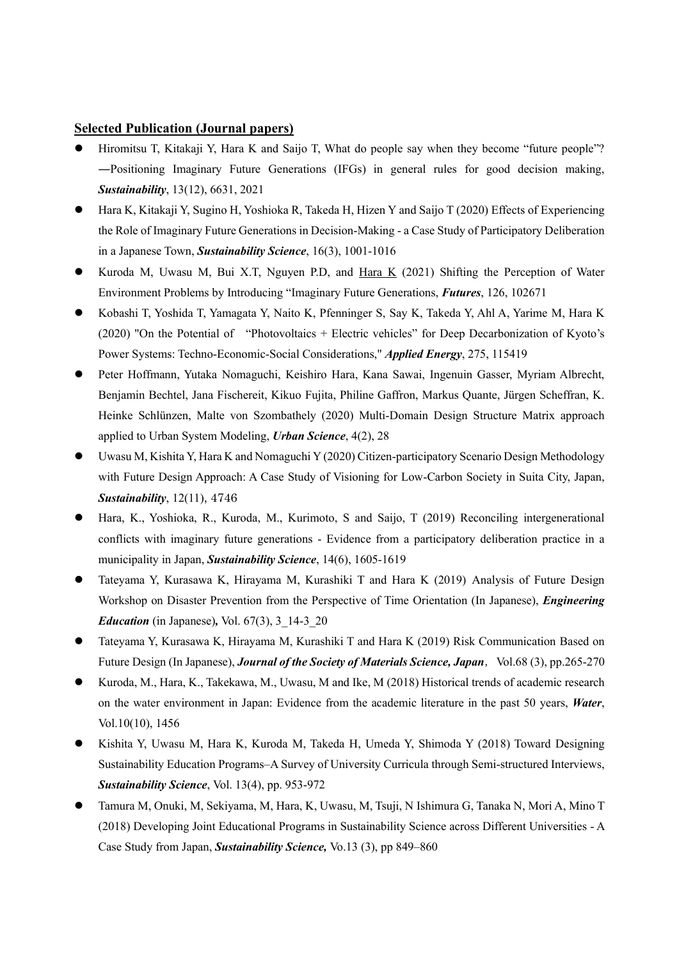#### **Selected Publication (Journal papers)**

- Hiromitsu T, Kitakaji Y, Hara K and Saijo T, What do people say when they become "future people"? ―Positioning Imaginary Future Generations (IFGs) in general rules for good decision making, *Sustainability*, 13(12), 6631, 2021
- ⚫ Hara K, Kitakaji Y, Sugino H, Yoshioka R, Takeda H, Hizen Y and Saijo T (2020) Effects of Experiencing the Role of Imaginary Future Generations in Decision-Making - a Case Study of Participatory Deliberation in a Japanese Town, *Sustainability Science*, 16(3), 1001-1016
- Kuroda M, Uwasu M, Bui X.T, Nguyen P.D, and Hara K (2021) Shifting the Perception of Water Environment Problems by Introducing "Imaginary Future Generations, *Futures*, 126, 102671
- ⚫ Kobashi T, Yoshida T, Yamagata Y, Naito K, Pfenninger S, Say K, Takeda Y, Ahl A, Yarime M, Hara K (2020) "On the Potential of "Photovoltaics + Electric vehicles" for Deep Decarbonization of Kyoto's Power Systems: Techno-Economic-Social Considerations," *Applied Energy*, 275, 115419
- ⚫ Peter Hoffmann, Yutaka Nomaguchi, Keishiro Hara, Kana Sawai, Ingenuin Gasser, Myriam Albrecht, Benjamin Bechtel, Jana Fischereit, Kikuo Fujita, Philine Gaffron, Markus Quante, Jürgen Scheffran, K. Heinke Schlünzen, Malte von Szombathely (2020) Multi-Domain Design Structure Matrix approach applied to Urban System Modeling, *Urban Science*, 4(2), 28
- ⚫ Uwasu M, Kishita Y, Hara K and Nomaguchi Y (2020) Citizen-participatory Scenario Design Methodology with Future Design Approach: A Case Study of Visioning for Low-Carbon Society in Suita City, Japan, *Sustainability*, 12(11), 4746
- ⚫ Hara, K., Yoshioka, R., Kuroda, M., Kurimoto, S and Saijo, T (2019) Reconciling intergenerational conflicts with imaginary future generations - Evidence from a participatory deliberation practice in a municipality in Japan, *Sustainability Science*, 14(6), 1605-1619
- ⚫ Tateyama Y, Kurasawa K, Hirayama M, Kurashiki T and Hara K (2019) Analysis of Future Design Workshop on Disaster Prevention from the Perspective of Time Orientation (In Japanese), *Engineering Education* (in Japanese)*,* Vol. 67(3), 3\_14-3\_20
- ⚫ Tateyama Y, Kurasawa K, Hirayama M, Kurashiki T and Hara K (2019) Risk Communication Based on Future Design (In Japanese), *Journal of the Society of Materials Science*, *Japan*, Vol.68 (3), pp.265-270
- ⚫ Kuroda, M., Hara, K., Takekawa, M., Uwasu, M and Ike, M (2018) Historical trends of academic research on the water environment in Japan: Evidence from the academic literature in the past 50 years, *Water*, Vol.10(10), 1456
- ⚫ Kishita Y, Uwasu M, Hara K, Kuroda M, Takeda H, Umeda Y, Shimoda Y (2018) Toward Designing Sustainability Education Programs–A Survey of University Curricula through Semi-structured Interviews, *Sustainability Science*, Vol. 13(4), pp. 953-972
- ⚫ Tamura M, Onuki, M, Sekiyama, M, Hara, K, Uwasu, M, Tsuji, N Ishimura G, Tanaka N, Mori A, Mino T (2018) Developing Joint Educational Programs in Sustainability Science across Different Universities - A Case Study from Japan, *Sustainability Science,* Vo.13 (3), pp 849–860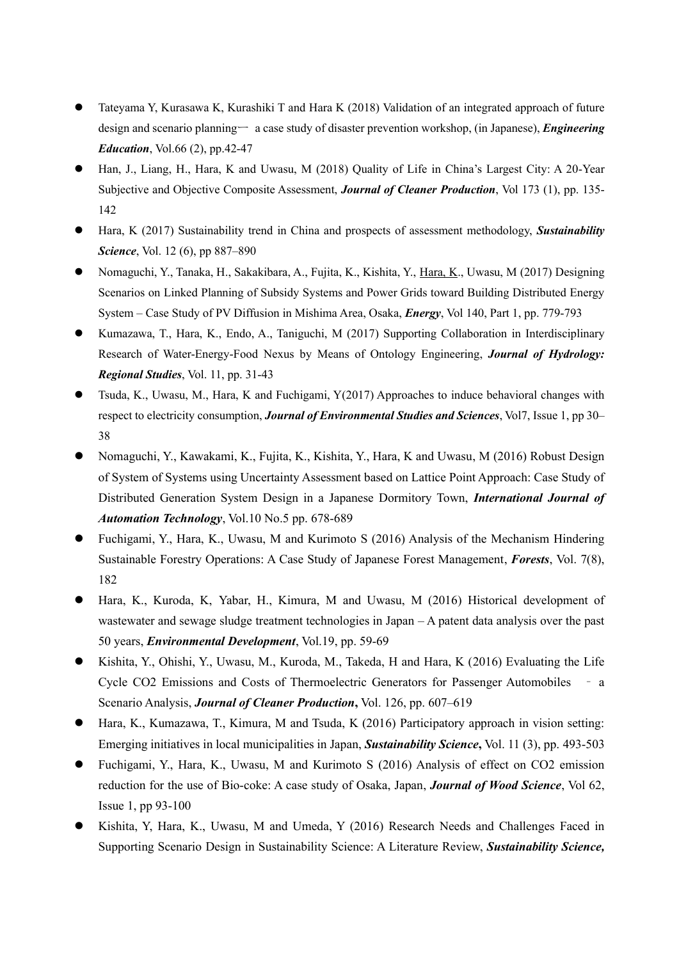- ⚫ Tateyama Y, Kurasawa K, Kurashiki T and Hara K (2018) Validation of an integrated approach of future design and scenario planningー a case study of disaster prevention workshop, (in Japanese), *Engineering Education*, Vol.66 (2), pp.42-47
- ⚫ Han, J., Liang, H., Hara, K and Uwasu, M (2018) Quality of Life in China's Largest City: A 20-Year Subjective and Objective Composite Assessment, *Journal of Cleaner Production*, Vol 173 (1), pp. 135- 142
- ⚫ Hara, K (2017) Sustainability trend in China and prospects of assessment methodology, *Sustainability Science*, Vol. 12 (6), pp 887–890
- ⚫ Nomaguchi, Y., Tanaka, H., Sakakibara, A., Fujita, K., Kishita, Y., Hara, K., Uwasu, M (2017) Designing Scenarios on Linked Planning of Subsidy Systems and Power Grids toward Building Distributed Energy System – Case Study of PV Diffusion in Mishima Area, Osaka, *Energy*, Vol 140, Part 1, pp. 779-793
- ⚫ Kumazawa, T., Hara, K., Endo, A., Taniguchi, M (2017) Supporting Collaboration in Interdisciplinary Research of Water-Energy-Food Nexus by Means of Ontology Engineering, *Journal of Hydrology: Regional Studies*, Vol. 11, pp. 31-43
- ⚫ Tsuda, K., Uwasu, M., Hara, K and Fuchigami, Y(2017) Approaches to induce behavioral changes with respect to electricity consumption, *Journal of Environmental Studies and Sciences*, Vol7, Issue 1, pp 30– 38
- ⚫ Nomaguchi, Y., Kawakami, K., Fujita, K., Kishita, Y., Hara, K and Uwasu, M (2016) Robust Design of System of Systems using Uncertainty Assessment based on Lattice Point Approach: Case Study of Distributed Generation System Design in a Japanese Dormitory Town, *International Journal of Automation Technology*, Vol.10 No.5 pp. 678-689
- ⚫ Fuchigami, Y., Hara, K., Uwasu, M and Kurimoto S (2016) Analysis of the Mechanism Hindering Sustainable Forestry Operations: A Case Study of Japanese Forest Management, *Forests*, Vol. 7(8), 182
- Hara, K., Kuroda, K., Yabar, H., Kimura, M and Uwasu, M (2016) Historical development of wastewater and sewage sludge treatment technologies in Japan – A patent data analysis over the past 50 years, *Environmental Development*, Vol.19, pp. 59-69
- ⚫ Kishita, Y., Ohishi, Y., Uwasu, M., Kuroda, M., Takeda, H and Hara, K (2016) Evaluating the Life Cycle CO2 Emissions and Costs of Thermoelectric Generators for Passenger Automobiles – a Scenario Analysis, *Journal of Cleaner Production***,** Vol. 126, pp. 607–619
- ⚫ Hara, K., Kumazawa, T., Kimura, M and Tsuda, K (2016) Participatory approach in vision setting: Emerging initiatives in local municipalities in Japan, *Sustainability Science***,** Vol. 11 (3), pp. 493-503
- ⚫ Fuchigami, Y., Hara, K., Uwasu, M and Kurimoto S (2016) Analysis of effect on CO2 emission reduction for the use of Bio-coke: A case study of Osaka, Japan, *Journal of Wood Science*, Vol 62, Issue 1, pp 93-100
- ⚫ Kishita, Y, Hara, K., Uwasu, M and Umeda, Y (2016) Research Needs and Challenges Faced in Supporting Scenario Design in Sustainability Science: A Literature Review, *Sustainability Science,*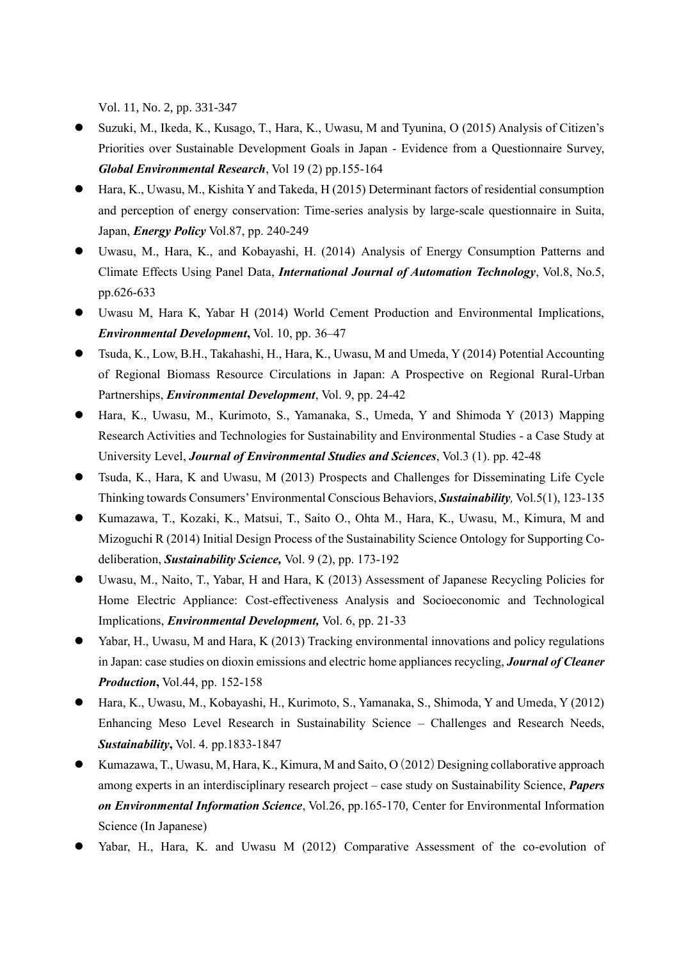Vol. 11, No. 2, pp. 331-347

- ⚫ Suzuki, M., Ikeda, K., Kusago, T., Hara, K., Uwasu, M and Tyunina, O (2015) Analysis of Citizen's Priorities over Sustainable Development Goals in Japan - Evidence from a Questionnaire Survey, *Global Environmental Research*, Vol 19 (2) pp.155-164
- ⚫ Hara, K., Uwasu, M., Kishita Y and Takeda, H (2015) Determinant factors of residential consumption and perception of energy conservation: Time-series analysis by large-scale questionnaire in Suita, Japan, *Energy Policy* Vol.87, pp. 240-249
- ⚫ Uwasu, M., Hara, K., and Kobayashi, H. (2014) Analysis of Energy Consumption Patterns and Climate Effects Using Panel Data, *International Journal of Automation Technology*, Vol.8, No.5, pp.626-633
- ⚫ Uwasu M, Hara K, Yabar H (2014) World Cement Production and Environmental Implications, *Environmental Development***,** Vol. 10, pp. 36–47
- ⚫ Tsuda, K., Low, B.H., Takahashi, H., Hara, K., Uwasu, M and Umeda, Y (2014) Potential Accounting of Regional Biomass Resource Circulations in Japan: A Prospective on Regional Rural-Urban Partnerships, *Environmental Development*, Vol. 9, pp. 24-42
- ⚫ Hara, K., Uwasu, M., Kurimoto, S., Yamanaka, S., Umeda, Y and Shimoda Y (2013) Mapping Research Activities and Technologies for Sustainability and Environmental Studies - a Case Study at University Level, *Journal of Environmental Studies and Sciences*, Vol.3 (1). pp. 42-48
- ⚫ Tsuda, K., Hara, K and Uwasu, M (2013) Prospects and Challenges for Disseminating Life Cycle Thinking towards Consumers' Environmental Conscious Behaviors, *Sustainability,* Vol.5(1), 123-135
- ⚫ Kumazawa, T., Kozaki, K., Matsui, T., Saito O., Ohta M., Hara, K., Uwasu, M., Kimura, M and Mizoguchi R (2014) Initial Design Process of the Sustainability Science Ontology for Supporting Codeliberation, *Sustainability Science,* Vol. 9 (2), pp. 173-192
- ⚫ Uwasu, M., Naito, T., Yabar, H and Hara, K (2013) Assessment of Japanese Recycling Policies for Home Electric Appliance: Cost-effectiveness Analysis and Socioeconomic and Technological Implications, *Environmental Development,* Vol. 6, pp. 21-33
- Yabar, H., Uwasu, M and Hara, K (2013) Tracking environmental innovations and policy regulations in Japan: case studies on dioxin emissions and electric home appliances recycling, *Journal of Cleaner Production***,** Vol.44, pp. 152-158
- ⚫ Hara, K., Uwasu, M., Kobayashi, H., Kurimoto, S., Yamanaka, S., Shimoda, Y and Umeda, Y (2012) Enhancing Meso Level Research in Sustainability Science – Challenges and Research Needs, *Sustainability***,** Vol. 4. pp.1833-1847
- Kumazawa, T., Uwasu, M, Hara, K., Kimura, M and Saito, O (2012) Designing collaborative approach among experts in an interdisciplinary research project – case study on Sustainability Science, *Papers on Environmental Information Science*, Vol.26, pp.165-170, Center for Environmental Information Science (In Japanese)
- Yabar, H., Hara, K. and Uwasu M (2012) Comparative Assessment of the co-evolution of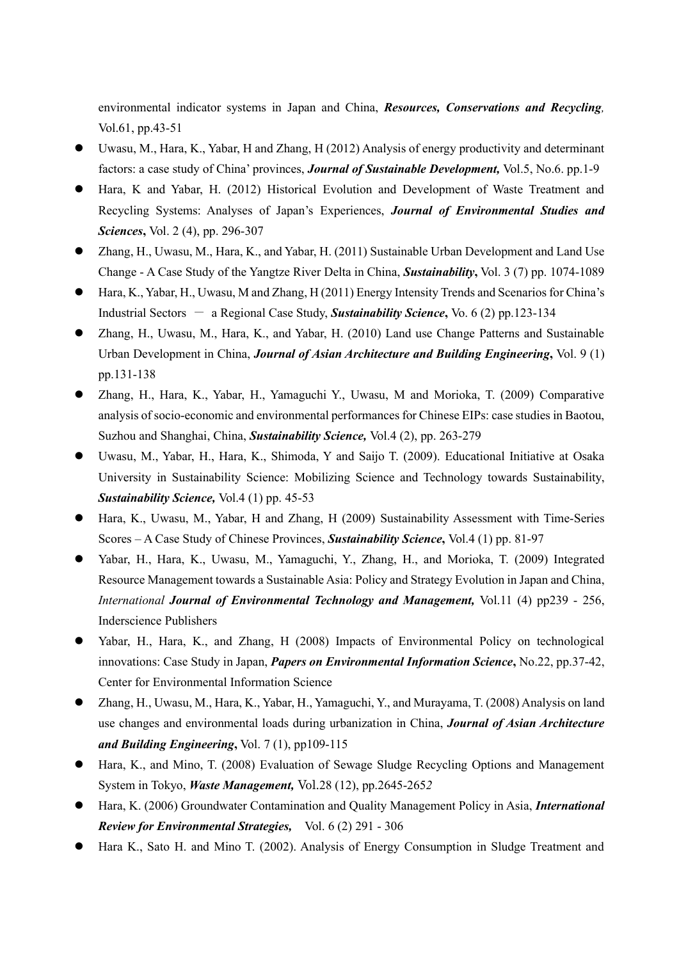environmental indicator systems in Japan and China, *Resources, Conservations and Recycling,*  Vol.61, pp.43-51

- ⚫ Uwasu, M., Hara, K., Yabar, H and Zhang, H (2012) Analysis of energy productivity and determinant factors: a case study of China' provinces, *Journal of Sustainable Development,* Vol.5, No.6. pp.1-9
- ⚫ Hara, K and Yabar, H. (2012) Historical Evolution and Development of Waste Treatment and Recycling Systems: Analyses of Japan's Experiences, *Journal of Environmental Studies and Sciences***,** Vol. 2 (4), pp. 296-307
- Zhang, H., Uwasu, M., Hara, K., and Yabar, H. (2011) Sustainable Urban Development and Land Use Change - A Case Study of the Yangtze River Delta in China, *Sustainability***,** Vol. 3 (7) pp. 1074-1089
- ⚫ Hara, K., Yabar, H., Uwasu, M and Zhang, H (2011) Energy Intensity Trends and Scenarios for China's Industrial Sectors - a Regional Case Study, *Sustainability Science***,** Vo. 6 (2) pp.123-134
- ⚫ Zhang, H., Uwasu, M., Hara, K., and Yabar, H. (2010) Land use Change Patterns and Sustainable Urban Development in China, *Journal of Asian Architecture and Building Engineering***,** Vol. 9 (1) pp.131-138
- ⚫ Zhang, H., Hara, K., Yabar, H., Yamaguchi Y., Uwasu, M and Morioka, T. (2009) Comparative analysis of socio-economic and environmental performances for Chinese EIPs: case studies in Baotou, Suzhou and Shanghai, China, *Sustainability Science,* Vol.4 (2), pp. 263-279
- ⚫ Uwasu, M., Yabar, H., Hara, K., Shimoda, Y and Saijo T. (2009). Educational Initiative at Osaka University in Sustainability Science: Mobilizing Science and Technology towards Sustainability, *Sustainability Science,* Vol.4 (1) pp. 45-53
- ⚫ Hara, K., Uwasu, M., Yabar, H and Zhang, H (2009) Sustainability Assessment with Time-Series Scores – A Case Study of Chinese Provinces, *Sustainability Science***,** Vol.4 (1) pp. 81-97
- Yabar, H., Hara, K., Uwasu, M., Yamaguchi, Y., Zhang, H., and Morioka, T. (2009) Integrated Resource Management towards a Sustainable Asia: Policy and Strategy Evolution in Japan and China, *International Journal of Environmental Technology and Management,* Vol.11 (4) pp239 - 256, Inderscience Publishers
- Yabar, H., Hara, K., and Zhang, H (2008) Impacts of Environmental Policy on technological innovations: Case Study in Japan, *Papers on Environmental Information Science***,** No.22, pp.37-42, Center for Environmental Information Science
- ⚫ Zhang, H., Uwasu, M., Hara, K., Yabar, H., Yamaguchi, Y., and Murayama, T. (2008) Analysis on land use changes and environmental loads during urbanization in China, *Journal of Asian Architecture and Building Engineering***,** Vol. 7 (1), pp109-115
- Hara, K., and Mino, T. (2008) Evaluation of Sewage Sludge Recycling Options and Management System in Tokyo, *Waste Management,* Vol.28 (12), pp.2645-265*2*
- ⚫ Hara, K. (2006) Groundwater Contamination and Quality Management Policy in Asia, *International Review for Environmental Strategies,* Vol. 6 (2) 291 - 306
- Hara K., Sato H. and Mino T. (2002). Analysis of Energy Consumption in Sludge Treatment and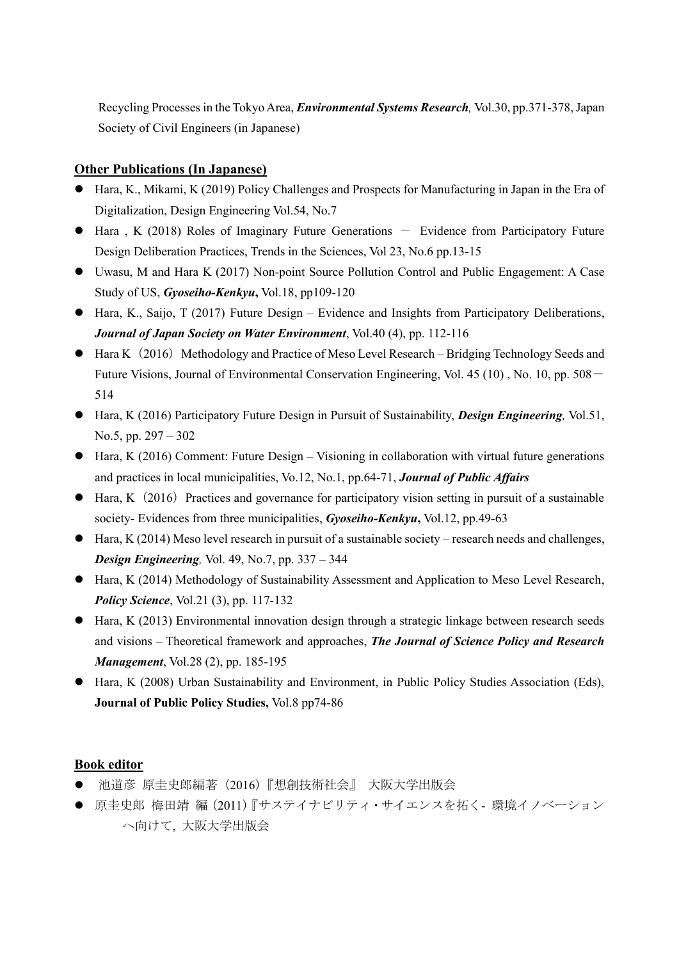Recycling Processes in the Tokyo Area, *Environmental Systems Research,* Vol.30, pp.371-378, Japan Society of Civil Engineers (in Japanese)

## **Other Publications (In Japanese)**

- ⚫ Hara, K., Mikami, K (2019) Policy Challenges and Prospects for Manufacturing in Japan in the Era of Digitalization, Design Engineering Vol.54, No.7
- $\bullet$  Hara, K (2018) Roles of Imaginary Future Generations  $-$  Evidence from Participatory Future Design Deliberation Practices, Trends in the Sciences, Vol 23, No.6 pp.13-15
- ⚫ Uwasu, M and Hara K (2017) Non-point Source Pollution Control and Public Engagement: A Case Study of US, *Gyoseiho-Kenkyu***,** Vol.18, pp109-120
- Hara, K., Saijo, T (2017) Future Design Evidence and Insights from Participatory Deliberations, *Journal of Japan Society on Water Environment*, Vol.40 (4), pp. 112-116
- $\bullet$  Hara K (2016) Methodology and Practice of Meso Level Research Bridging Technology Seeds and Future Visions, Journal of Environmental Conservation Engineering, Vol. 45 (10), No. 10, pp. 508 – 514
- ⚫ Hara, K (2016) Participatory Future Design in Pursuit of Sustainability, *Design Engineering,* Vol.51, No.5, pp. 297 – 302
- $\bullet$  Hara, K (2016) Comment: Future Design Visioning in collaboration with virtual future generations and practices in local municipalities, Vo.12, No.1, pp.64-71, *Journal of Public Affairs*
- $\bullet$  Hara, K (2016) Practices and governance for participatory vision setting in pursuit of a sustainable society- Evidences from three municipalities, *Gyoseiho-Kenkyu***,** Vol.12, pp.49-63
- $\bullet$  Hara, K (2014) Meso level research in pursuit of a sustainable society research needs and challenges, *Design Engineering,* Vol. 49, No.7, pp. 337 – 344
- Hara, K (2014) Methodology of Sustainability Assessment and Application to Meso Level Research, *Policy Science*, Vol.21 (3), pp. 117-132
- ⚫ Hara, K (2013) Environmental innovation design through a strategic linkage between research seeds and visions – Theoretical framework and approaches, *The Journal of Science Policy and Research Management*, Vol.28 (2), pp. 185-195
- ⚫ Hara, K (2008) Urban Sustainability and Environment, in Public Policy Studies Association (Eds), **Journal of Public Policy Studies,** Vol.8 pp74-86

# **Book editor**

- ⚫ 池道彦 原圭史郎編著(2016)『想創技術社会』 大阪大学出版会
- 原圭史郎 梅田靖 編 (2011)『サステイナビリティ・サイエンスを拓く- 環境イノベーション へ向けて, 大阪大学出版会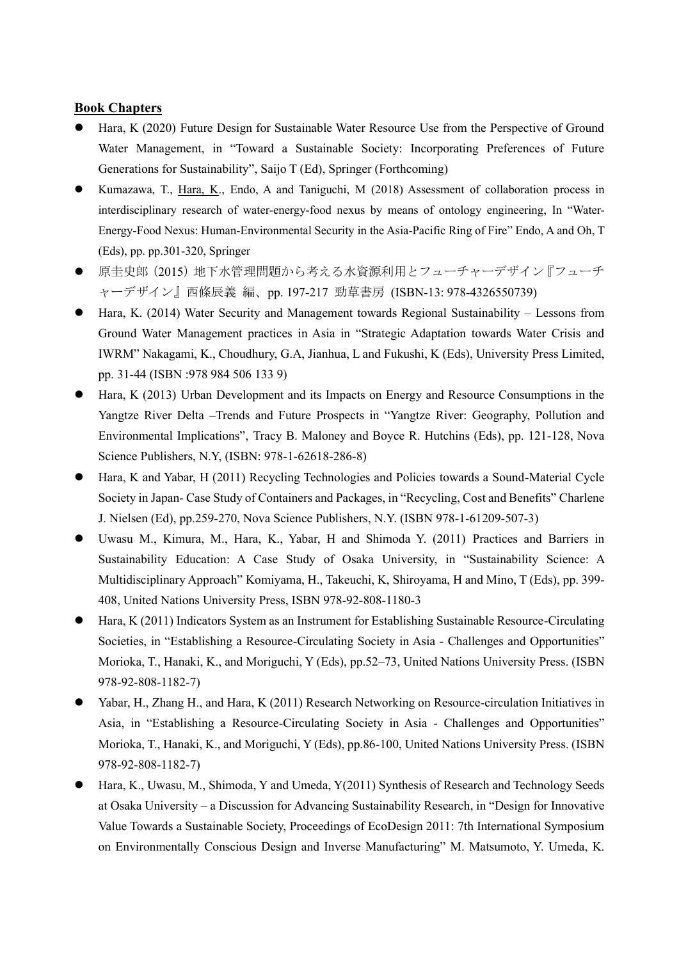#### **Book Chapters**

- ⚫ Hara, K (2020) Future Design for Sustainable Water Resource Use from the Perspective of Ground Water Management, in "Toward a Sustainable Society: Incorporating Preferences of Future Generations for Sustainability", Saijo T (Ed), Springer (Forthcoming)
- Kumazawa, T., Hara, K., Endo, A and Taniguchi, M (2018) Assessment of collaboration process in interdisciplinary research of water-energy-food nexus by means of ontology engineering, In "Water-Energy-Food Nexus: Human-Environmental Security in the Asia-Pacific Ring of Fire" Endo, A and Oh, T (Eds), pp. pp.301-320, Springer
- 原圭史郎 (2015) 地下水管理問題から考える水資源利用とフューチャーデザイン『フューチ ャーデザイン』西條辰義 編、pp. 197-217 勁草書房 (ISBN-13: 978-4326550739)
- Hara, K. (2014) Water Security and Management towards Regional Sustainability Lessons from Ground Water Management practices in Asia in "Strategic Adaptation towards Water Crisis and IWRM" Nakagami, K., Choudhury, G.A, Jianhua, L and Fukushi, K (Eds), University Press Limited, pp. 31-44 (ISBN :978 984 506 133 9)
- Hara, K (2013) Urban Development and its Impacts on Energy and Resource Consumptions in the Yangtze River Delta –Trends and Future Prospects in "Yangtze River: Geography, Pollution and Environmental Implications", Tracy B. Maloney and Boyce R. Hutchins (Eds), pp. 121-128, Nova Science Publishers, N.Y, (ISBN: 978-1-62618-286-8)
- ⚫ Hara, K and Yabar, H (2011) Recycling Technologies and Policies towards a Sound-Material Cycle Society in Japan- Case Study of Containers and Packages, in "Recycling, Cost and Benefits" Charlene J. Nielsen (Ed), pp.259-270, Nova Science Publishers, N.Y. (ISBN 978-1-61209-507-3)
- ⚫ Uwasu M., Kimura, M., Hara, K., Yabar, H and Shimoda Y. (2011) Practices and Barriers in Sustainability Education: A Case Study of Osaka University, in "Sustainability Science: A Multidisciplinary Approach" Komiyama, H., Takeuchi, K, Shiroyama, H and Mino, T (Eds), pp. 399- 408, United Nations University Press, ISBN 978-92-808-1180-3
- Hara, K (2011) Indicators System as an Instrument for Establishing Sustainable Resource-Circulating Societies, in "Establishing a Resource-Circulating Society in Asia - Challenges and Opportunities" Morioka, T., Hanaki, K., and Moriguchi, Y (Eds), pp.52–73, United Nations University Press. (ISBN 978-92-808-1182-7)
- ⚫ Yabar, H., Zhang H., and Hara, K (2011) Research Networking on Resource-circulation Initiatives in Asia, in "Establishing a Resource-Circulating Society in Asia - Challenges and Opportunities" Morioka, T., Hanaki, K., and Moriguchi, Y (Eds), pp.86-100, United Nations University Press. (ISBN 978-92-808-1182-7)
- ⚫ Hara, K., Uwasu, M., Shimoda, Y and Umeda, Y(2011) Synthesis of Research and Technology Seeds at Osaka University – a Discussion for Advancing Sustainability Research, in "Design for Innovative Value Towards a Sustainable Society, Proceedings of EcoDesign 2011: 7th International Symposium on Environmentally Conscious Design and Inverse Manufacturing" M. Matsumoto, Y. Umeda, K.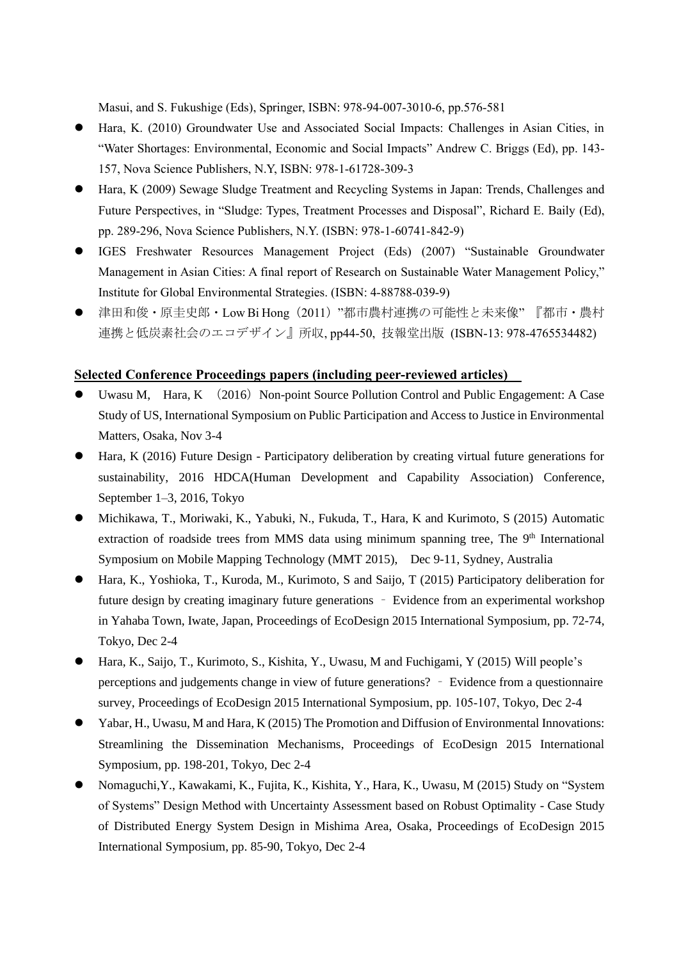Masui, and S. Fukushige (Eds), Springer, ISBN: 978-94-007-3010-6, pp.576-581

- ⚫ Hara, K. (2010) Groundwater Use and Associated Social Impacts: Challenges in Asian Cities, in "Water Shortages: Environmental, Economic and Social Impacts" Andrew C. Briggs (Ed), pp. 143- 157, Nova Science Publishers, N.Y, ISBN: 978-1-61728-309-3
- ⚫ Hara, K (2009) Sewage Sludge Treatment and Recycling Systems in Japan: Trends, Challenges and Future Perspectives, in "Sludge: Types, Treatment Processes and Disposal", Richard E. Baily (Ed), pp. 289-296, Nova Science Publishers, N.Y. (ISBN: 978-1-60741-842-9)
- ⚫ IGES Freshwater Resources Management Project (Eds) (2007) "Sustainable Groundwater Management in Asian Cities: A final report of Research on Sustainable Water Management Policy," Institute for Global Environmental Strategies. (ISBN: 4-88788-039-9)
- 津田和俊・原圭史郎・Low Bi Hong (2011) "都市農村連携の可能性と未来像"『都市・農村 連携と低炭素社会のエコデザイン』所収, pp44-50, 技報堂出版 (ISBN-13: 978-4765534482)

### **Selected Conference Proceedings papers (including peer-reviewed articles)**

- Uwasu M, Hara, K  $(2016)$  Non-point Source Pollution Control and Public Engagement: A Case Study of US, International Symposium on Public Participation and Access to Justice in Environmental Matters, Osaka, Nov 3-4
- Hara, K (2016) Future Design Participatory deliberation by creating virtual future generations for sustainability, 2016 HDCA(Human Development and Capability Association) Conference, September 1–3, 2016, Tokyo
- ⚫ Michikawa, T., Moriwaki, K., Yabuki, N., Fukuda, T., Hara, K and Kurimoto, S (2015) Automatic extraction of roadside trees from MMS data using minimum spanning tree, The 9<sup>th</sup> International Symposium on Mobile Mapping Technology (MMT 2015), Dec 9-11, Sydney, Australia
- Hara, K., Yoshioka, T., Kuroda, M., Kurimoto, S and Saijo, T (2015) Participatory deliberation for future design by creating imaginary future generations – Evidence from an experimental workshop in Yahaba Town, Iwate, Japan, Proceedings of EcoDesign 2015 International Symposium, pp. 72-74, Tokyo, Dec 2-4
- ⚫ Hara, K., Saijo, T., Kurimoto, S., Kishita, Y., Uwasu, M and Fuchigami, Y (2015) Will people's perceptions and judgements change in view of future generations? – Evidence from a questionnaire survey, Proceedings of EcoDesign 2015 International Symposium, pp. 105-107, Tokyo, Dec 2-4
- ⚫ Yabar, H., Uwasu, M and Hara, K (2015) The Promotion and Diffusion of Environmental Innovations: Streamlining the Dissemination Mechanisms, Proceedings of EcoDesign 2015 International Symposium, pp. 198-201, Tokyo, Dec 2-4
- ⚫ Nomaguchi,Y., Kawakami, K., Fujita, K., Kishita, Y., Hara, K., Uwasu, M (2015) Study on "System of Systems" Design Method with Uncertainty Assessment based on Robust Optimality - Case Study of Distributed Energy System Design in Mishima Area, Osaka, Proceedings of EcoDesign 2015 International Symposium, pp. 85-90, Tokyo, Dec 2-4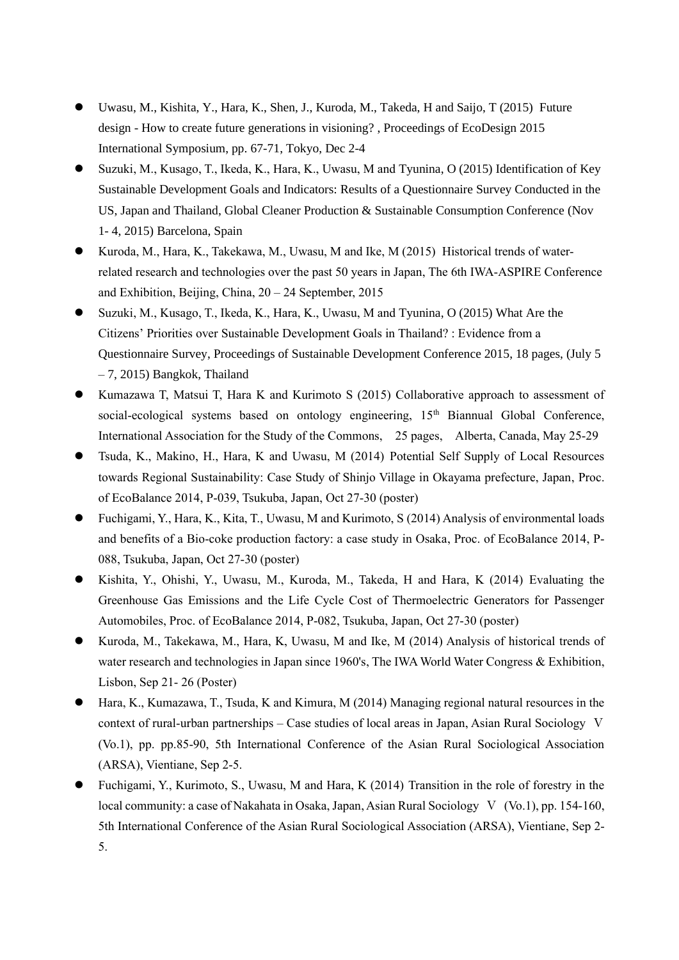- ⚫ Uwasu, M., Kishita, Y., Hara, K., Shen, J., Kuroda, M., Takeda, H and Saijo, T (2015) Future design - How to create future generations in visioning? , Proceedings of EcoDesign 2015 International Symposium, pp. 67-71, Tokyo, Dec 2-4
- ⚫ Suzuki, M., Kusago, T., Ikeda, K., Hara, K., Uwasu, M and Tyunina, O (2015) Identification of Key Sustainable Development Goals and Indicators: Results of a Questionnaire Survey Conducted in the US, Japan and Thailand, Global Cleaner Production & Sustainable Consumption Conference (Nov 1- 4, 2015) Barcelona, Spain
- Kuroda, M., Hara, K., Takekawa, M., Uwasu, M and Ike, M (2015) Historical trends of waterrelated research and technologies over the past 50 years in Japan, The 6th IWA-ASPIRE Conference and Exhibition, Beijing, China, 20 – 24 September, 2015
- ⚫ Suzuki, M., Kusago, T., Ikeda, K., Hara, K., Uwasu, M and Tyunina, O (2015) What Are the Citizens' Priorities over Sustainable Development Goals in Thailand? : Evidence from a Questionnaire Survey, Proceedings of Sustainable Development Conference 2015, 18 pages, (July 5 – 7, 2015) Bangkok, Thailand
- ⚫ Kumazawa T, Matsui T, Hara K and Kurimoto S (2015) Collaborative approach to assessment of social-ecological systems based on ontology engineering, 15<sup>th</sup> Biannual Global Conference, International Association for the Study of the Commons, 25 pages, Alberta, Canada, May 25-29
- ⚫ Tsuda, K., Makino, H., Hara, K and Uwasu, M (2014) Potential Self Supply of Local Resources towards Regional Sustainability: Case Study of Shinjo Village in Okayama prefecture, Japan, Proc. of EcoBalance 2014, P-039, Tsukuba, Japan, Oct 27-30 (poster)
- ⚫ Fuchigami, Y., Hara, K., Kita, T., Uwasu, M and Kurimoto, S (2014) Analysis of environmental loads and benefits of a Bio-coke production factory: a case study in Osaka, Proc. of EcoBalance 2014, P-088, Tsukuba, Japan, Oct 27-30 (poster)
- ⚫ Kishita, Y., Ohishi, Y., Uwasu, M., Kuroda, M., Takeda, H and Hara, K (2014) Evaluating the Greenhouse Gas Emissions and the Life Cycle Cost of Thermoelectric Generators for Passenger Automobiles, Proc. of EcoBalance 2014, P-082, Tsukuba, Japan, Oct 27-30 (poster)
- ⚫ Kuroda, M., Takekawa, M., Hara, K, Uwasu, M and Ike, M (2014) Analysis of historical trends of water research and technologies in Japan since 1960's, The IWA World Water Congress & Exhibition, Lisbon, Sep 21- 26 (Poster)
- ⚫ Hara, K., Kumazawa, T., Tsuda, K and Kimura, M (2014) Managing regional natural resources in the context of rural-urban partnerships – Case studies of local areas in Japan, Asian Rural Sociology Ⅴ (Vo.1), pp. pp.85-90, 5th International Conference of the Asian Rural Sociological Association (ARSA), Vientiane, Sep 2-5.
- ⚫ Fuchigami, Y., Kurimoto, S., Uwasu, M and Hara, K (2014) Transition in the role of forestry in the local community: a case of Nakahata in Osaka, Japan, Asian Rural Sociology Ⅴ (Vo.1), pp. 154-160, 5th International Conference of the Asian Rural Sociological Association (ARSA), Vientiane, Sep 2- 5.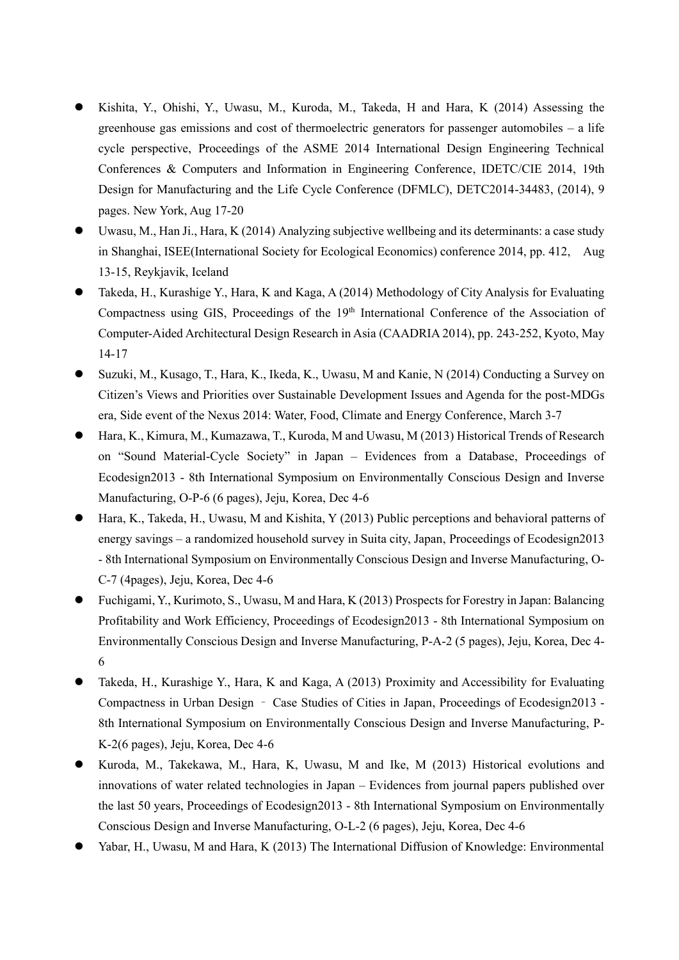- ⚫ Kishita, Y., Ohishi, Y., Uwasu, M., Kuroda, M., Takeda, H and Hara, K (2014) Assessing the greenhouse gas emissions and cost of thermoelectric generators for passenger automobiles – a life cycle perspective, Proceedings of the ASME 2014 International Design Engineering Technical Conferences & Computers and Information in Engineering Conference, IDETC/CIE 2014, 19th Design for Manufacturing and the Life Cycle Conference (DFMLC), DETC2014-34483, (2014), 9 pages. New York, Aug 17-20
- Uwasu, M., Han Ji., Hara, K (2014) Analyzing subjective wellbeing and its determinants: a case study in Shanghai, ISEE(International Society for Ecological Economics) conference 2014, pp. 412, Aug 13-15, Reykjavik, Iceland
- ⚫ Takeda, H., Kurashige Y., Hara, K and Kaga, A (2014) Methodology of City Analysis for Evaluating Compactness using GIS, Proceedings of the 19<sup>th</sup> International Conference of the Association of Computer-Aided Architectural Design Research in Asia (CAADRIA 2014), pp. 243-252, Kyoto, May 14-17
- ⚫ Suzuki, M., Kusago, T., Hara, K., Ikeda, K., Uwasu, M and Kanie, N (2014) Conducting a Survey on Citizen's Views and Priorities over Sustainable Development Issues and Agenda for the post-MDGs era, Side event of the Nexus 2014: Water, Food, Climate and Energy Conference, March 3-7
- ⚫ Hara, K., Kimura, M., Kumazawa, T., Kuroda, M and Uwasu, M (2013) Historical Trends of Research on "Sound Material-Cycle Society" in Japan – Evidences from a Database, Proceedings of Ecodesign2013 - 8th International Symposium on Environmentally Conscious Design and Inverse Manufacturing, O-P-6 (6 pages), Jeju, Korea, Dec 4-6
- ⚫ Hara, K., Takeda, H., Uwasu, M and Kishita, Y (2013) Public perceptions and behavioral patterns of energy savings – a randomized household survey in Suita city, Japan, Proceedings of Ecodesign2013 - 8th International Symposium on Environmentally Conscious Design and Inverse Manufacturing, O-C-7 (4pages), Jeju, Korea, Dec 4-6
- ⚫ Fuchigami, Y., Kurimoto, S., Uwasu, M and Hara, K (2013) Prospects for Forestry in Japan: Balancing Profitability and Work Efficiency, Proceedings of Ecodesign2013 - 8th International Symposium on Environmentally Conscious Design and Inverse Manufacturing, P-A-2 (5 pages), Jeju, Korea, Dec 4- 6
- ⚫ Takeda, H., Kurashige Y., Hara, K and Kaga, A (2013) Proximity and Accessibility for Evaluating Compactness in Urban Design – Case Studies of Cities in Japan, Proceedings of Ecodesign2013 - 8th International Symposium on Environmentally Conscious Design and Inverse Manufacturing, P-K-2(6 pages), Jeju, Korea, Dec 4-6
- ⚫ Kuroda, M., Takekawa, M., Hara, K, Uwasu, M and Ike, M (2013) Historical evolutions and innovations of water related technologies in Japan – Evidences from journal papers published over the last 50 years, Proceedings of Ecodesign2013 - 8th International Symposium on Environmentally Conscious Design and Inverse Manufacturing, O-L-2 (6 pages), Jeju, Korea, Dec 4-6
- Yabar, H., Uwasu, M and Hara, K (2013) The International Diffusion of Knowledge: Environmental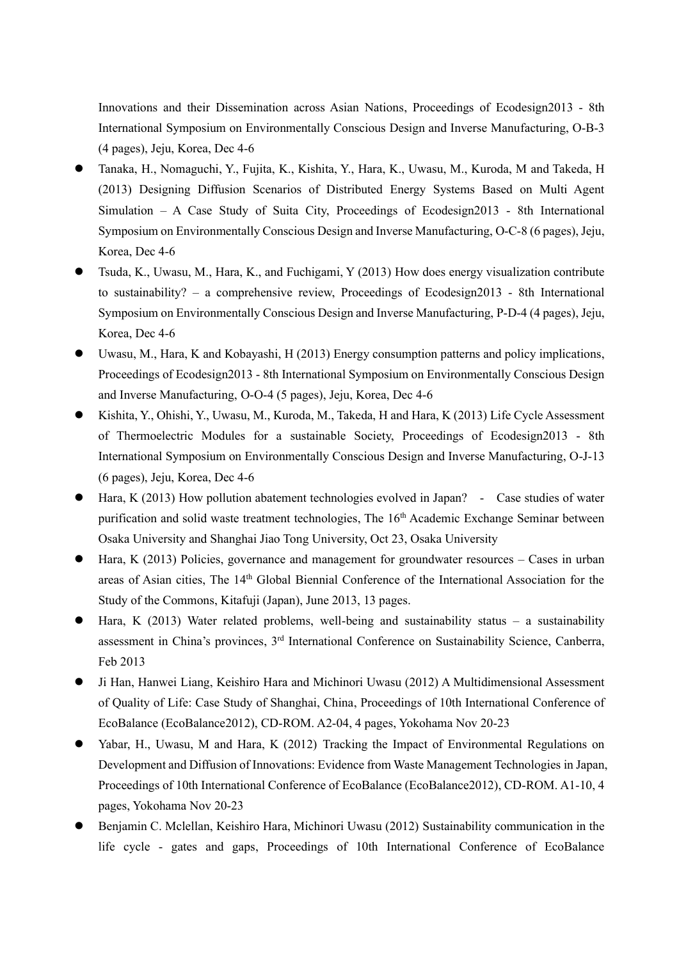Innovations and their Dissemination across Asian Nations, Proceedings of Ecodesign2013 - 8th International Symposium on Environmentally Conscious Design and Inverse Manufacturing, O-B-3 (4 pages), Jeju, Korea, Dec 4-6

- ⚫ Tanaka, H., Nomaguchi, Y., Fujita, K., Kishita, Y., Hara, K., Uwasu, M., Kuroda, M and Takeda, H (2013) Designing Diffusion Scenarios of Distributed Energy Systems Based on Multi Agent Simulation – A Case Study of Suita City, Proceedings of Ecodesign2013 - 8th International Symposium on Environmentally Conscious Design and Inverse Manufacturing, O-C-8 (6 pages), Jeju, Korea, Dec 4-6
- ⚫ Tsuda, K., Uwasu, M., Hara, K., and Fuchigami, Y (2013) How does energy visualization contribute to sustainability? – a comprehensive review, Proceedings of Ecodesign2013 - 8th International Symposium on Environmentally Conscious Design and Inverse Manufacturing, P-D-4 (4 pages), Jeju, Korea, Dec 4-6
- ⚫ Uwasu, M., Hara, K and Kobayashi, H (2013) Energy consumption patterns and policy implications, Proceedings of Ecodesign2013 - 8th International Symposium on Environmentally Conscious Design and Inverse Manufacturing, O-O-4 (5 pages), Jeju, Korea, Dec 4-6
- ⚫ Kishita, Y., Ohishi, Y., Uwasu, M., Kuroda, M., Takeda, H and Hara, K (2013) Life Cycle Assessment of Thermoelectric Modules for a sustainable Society, Proceedings of Ecodesign2013 - 8th International Symposium on Environmentally Conscious Design and Inverse Manufacturing, O-J-13 (6 pages), Jeju, Korea, Dec 4-6
- Hara, K (2013) How pollution abatement technologies evolved in Japan? Case studies of water purification and solid waste treatment technologies, The 16<sup>th</sup> Academic Exchange Seminar between Osaka University and Shanghai Jiao Tong University, Oct 23, Osaka University
- Hara, K (2013) Policies, governance and management for groundwater resources Cases in urban areas of Asian cities, The 14th Global Biennial Conference of the International Association for the Study of the Commons, Kitafuji (Japan), June 2013, 13 pages.
- Hara, K (2013) Water related problems, well-being and sustainability status a sustainability assessment in China's provinces, 3rd International Conference on Sustainability Science, Canberra, Feb 2013
- ⚫ Ji Han, Hanwei Liang, Keishiro Hara and Michinori Uwasu (2012) A Multidimensional Assessment of Quality of Life: Case Study of Shanghai, China, Proceedings of 10th International Conference of EcoBalance (EcoBalance2012), CD-ROM. A2-04, 4 pages, Yokohama Nov 20-23
- Yabar, H., Uwasu, M and Hara, K (2012) Tracking the Impact of Environmental Regulations on Development and Diffusion of Innovations: Evidence from Waste Management Technologies in Japan, Proceedings of 10th International Conference of EcoBalance (EcoBalance2012), CD-ROM. A1-10, 4 pages, Yokohama Nov 20-23
- ⚫ Benjamin C. Mclellan, Keishiro Hara, Michinori Uwasu (2012) Sustainability communication in the life cycle - gates and gaps, Proceedings of 10th International Conference of EcoBalance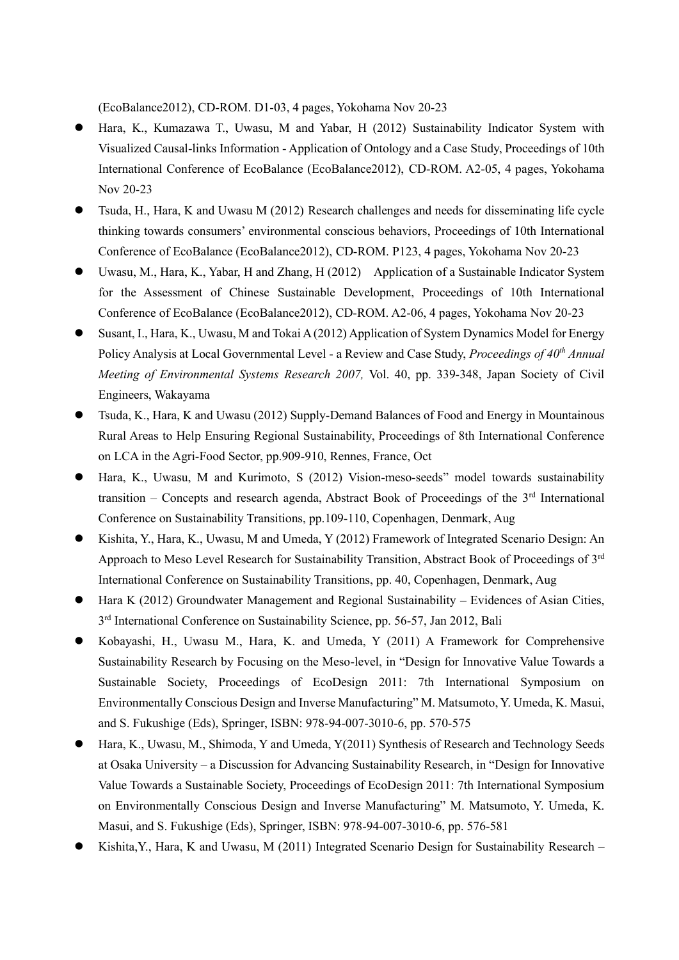(EcoBalance2012), CD-ROM. D1-03, 4 pages, Yokohama Nov 20-23

- Hara, K., Kumazawa T., Uwasu, M and Yabar, H (2012) Sustainability Indicator System with Visualized Causal-links Information - Application of Ontology and a Case Study, Proceedings of 10th International Conference of EcoBalance (EcoBalance2012), CD-ROM. A2-05, 4 pages, Yokohama Nov 20-23
- ⚫ Tsuda, H., Hara, K and Uwasu M (2012) Research challenges and needs for disseminating life cycle thinking towards consumers' environmental conscious behaviors, Proceedings of 10th International Conference of EcoBalance (EcoBalance2012), CD-ROM. P123, 4 pages, Yokohama Nov 20-23
- Uwasu, M., Hara, K., Yabar, H and Zhang, H (2012) Application of a Sustainable Indicator System for the Assessment of Chinese Sustainable Development, Proceedings of 10th International Conference of EcoBalance (EcoBalance2012), CD-ROM. A2-06, 4 pages, Yokohama Nov 20-23
- ⚫ Susant, I., Hara, K., Uwasu, M and Tokai A (2012) Application of System Dynamics Model for Energy Policy Analysis at Local Governmental Level - a Review and Case Study, *Proceedings of 40th Annual Meeting of Environmental Systems Research 2007,* Vol. 40, pp. 339-348, Japan Society of Civil Engineers, Wakayama
- ⚫ Tsuda, K., Hara, K and Uwasu (2012) Supply-Demand Balances of Food and Energy in Mountainous Rural Areas to Help Ensuring Regional Sustainability, Proceedings of 8th International Conference on LCA in the Agri-Food Sector, pp.909-910, Rennes, France, Oct
- ⚫ Hara, K., Uwasu, M and Kurimoto, S (2012) Vision-meso-seeds" model towards sustainability transition – Concepts and research agenda, Abstract Book of Proceedings of the  $3<sup>rd</sup>$  International Conference on Sustainability Transitions, pp.109-110, Copenhagen, Denmark, Aug
- ⚫ Kishita, Y., Hara, K., Uwasu, M and Umeda, Y (2012) Framework of Integrated Scenario Design: An Approach to Meso Level Research for Sustainability Transition, Abstract Book of Proceedings of 3rd International Conference on Sustainability Transitions, pp. 40, Copenhagen, Denmark, Aug
- Hara K (2012) Groundwater Management and Regional Sustainability Evidences of Asian Cities, 3<sup>rd</sup> International Conference on Sustainability Science, pp. 56-57, Jan 2012, Bali
- ⚫ Kobayashi, H., Uwasu M., Hara, K. and Umeda, Y (2011) A Framework for Comprehensive Sustainability Research by Focusing on the Meso-level, in "Design for Innovative Value Towards a Sustainable Society, Proceedings of EcoDesign 2011: 7th International Symposium on Environmentally Conscious Design and Inverse Manufacturing" M. Matsumoto, Y. Umeda, K. Masui, and S. Fukushige (Eds), Springer, ISBN: 978-94-007-3010-6, pp. 570-575
- ⚫ Hara, K., Uwasu, M., Shimoda, Y and Umeda, Y(2011) Synthesis of Research and Technology Seeds at Osaka University – a Discussion for Advancing Sustainability Research, in "Design for Innovative Value Towards a Sustainable Society, Proceedings of EcoDesign 2011: 7th International Symposium on Environmentally Conscious Design and Inverse Manufacturing" M. Matsumoto, Y. Umeda, K. Masui, and S. Fukushige (Eds), Springer, ISBN: 978-94-007-3010-6, pp. 576-581
- Kishita, Y., Hara, K and Uwasu, M (2011) Integrated Scenario Design for Sustainability Research -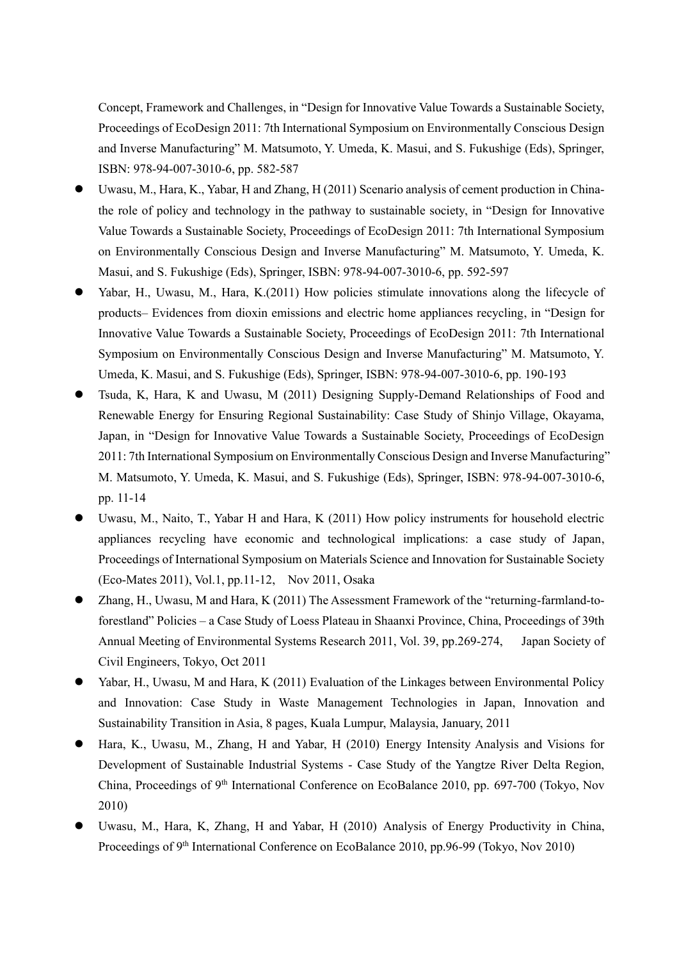Concept, Framework and Challenges, in "Design for Innovative Value Towards a Sustainable Society, Proceedings of EcoDesign 2011: 7th International Symposium on Environmentally Conscious Design and Inverse Manufacturing" M. Matsumoto, Y. Umeda, K. Masui, and S. Fukushige (Eds), Springer, ISBN: 978-94-007-3010-6, pp. 582-587

- Uwasu, M., Hara, K., Yabar, H and Zhang, H (2011) Scenario analysis of cement production in Chinathe role of policy and technology in the pathway to sustainable society, in "Design for Innovative Value Towards a Sustainable Society, Proceedings of EcoDesign 2011: 7th International Symposium on Environmentally Conscious Design and Inverse Manufacturing" M. Matsumoto, Y. Umeda, K. Masui, and S. Fukushige (Eds), Springer, ISBN: 978-94-007-3010-6, pp. 592-597
- Yabar, H., Uwasu, M., Hara, K.(2011) How policies stimulate innovations along the lifecycle of products– Evidences from dioxin emissions and electric home appliances recycling, in "Design for Innovative Value Towards a Sustainable Society, Proceedings of EcoDesign 2011: 7th International Symposium on Environmentally Conscious Design and Inverse Manufacturing" M. Matsumoto, Y. Umeda, K. Masui, and S. Fukushige (Eds), Springer, ISBN: 978-94-007-3010-6, pp. 190-193
- ⚫ Tsuda, K, Hara, K and Uwasu, M (2011) Designing Supply-Demand Relationships of Food and Renewable Energy for Ensuring Regional Sustainability: Case Study of Shinjo Village, Okayama, Japan, in "Design for Innovative Value Towards a Sustainable Society, Proceedings of EcoDesign 2011: 7th International Symposium on Environmentally Conscious Design and Inverse Manufacturing" M. Matsumoto, Y. Umeda, K. Masui, and S. Fukushige (Eds), Springer, ISBN: 978-94-007-3010-6, pp. 11-14
- ⚫ Uwasu, M., Naito, T., Yabar H and Hara, K (2011) How policy instruments for household electric appliances recycling have economic and technological implications: a case study of Japan, Proceedings of International Symposium on Materials Science and Innovation for Sustainable Society (Eco-Mates 2011), Vol.1, pp.11-12, Nov 2011, Osaka
- ⚫ Zhang, H., Uwasu, M and Hara, K (2011) The Assessment Framework of the "returning-farmland-toforestland" Policies – a Case Study of Loess Plateau in Shaanxi Province, China, Proceedings of 39th Annual Meeting of Environmental Systems Research 2011, Vol. 39, pp.269-274, Japan Society of Civil Engineers, Tokyo, Oct 2011
- Yabar, H., Uwasu, M and Hara, K (2011) Evaluation of the Linkages between Environmental Policy and Innovation: Case Study in Waste Management Technologies in Japan, Innovation and Sustainability Transition in Asia, 8 pages, Kuala Lumpur, Malaysia, January, 2011
- Hara, K., Uwasu, M., Zhang, H and Yabar, H (2010) Energy Intensity Analysis and Visions for Development of Sustainable Industrial Systems - Case Study of the Yangtze River Delta Region, China, Proceedings of 9th International Conference on EcoBalance 2010, pp. 697-700 (Tokyo, Nov 2010)
- ⚫ Uwasu, M., Hara, K, Zhang, H and Yabar, H (2010) Analysis of Energy Productivity in China, Proceedings of 9<sup>th</sup> International Conference on EcoBalance 2010, pp.96-99 (Tokyo, Nov 2010)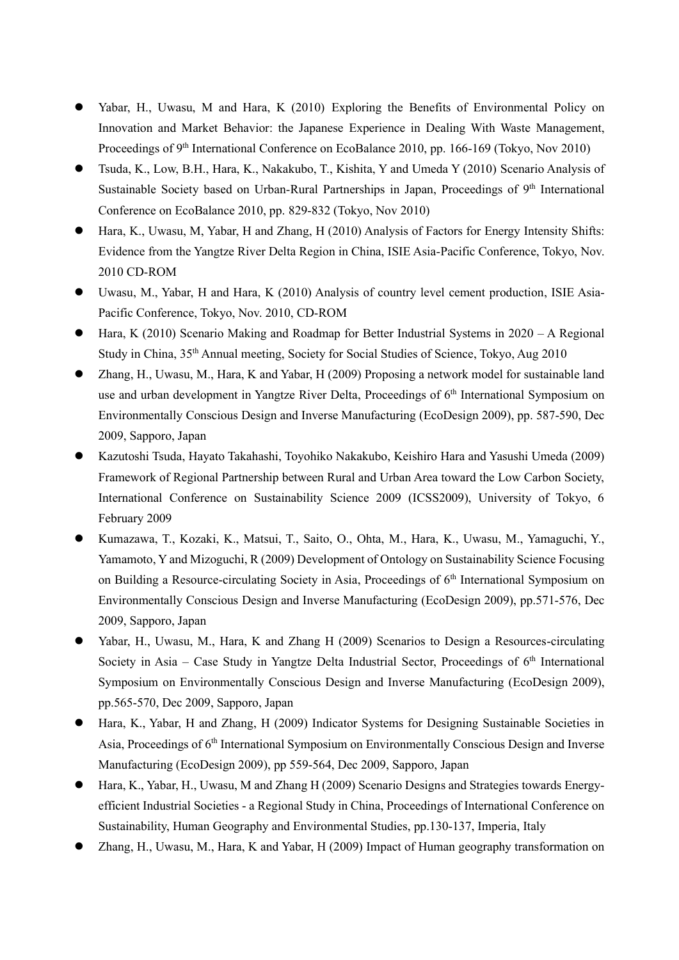- Yabar, H., Uwasu, M and Hara, K (2010) Exploring the Benefits of Environmental Policy on Innovation and Market Behavior: the Japanese Experience in Dealing With Waste Management, Proceedings of 9<sup>th</sup> International Conference on EcoBalance 2010, pp. 166-169 (Tokyo, Nov 2010)
- ⚫ Tsuda, K., Low, B.H., Hara, K., Nakakubo, T., Kishita, Y and Umeda Y (2010) Scenario Analysis of Sustainable Society based on Urban-Rural Partnerships in Japan, Proceedings of 9<sup>th</sup> International Conference on EcoBalance 2010, pp. 829-832 (Tokyo, Nov 2010)
- Hara, K., Uwasu, M. Yabar, H and Zhang, H (2010) Analysis of Factors for Energy Intensity Shifts: Evidence from the Yangtze River Delta Region in China, ISIE Asia-Pacific Conference, Tokyo, Nov. 2010 CD-ROM
- ⚫ Uwasu, M., Yabar, H and Hara, K (2010) Analysis of country level cement production, ISIE Asia-Pacific Conference, Tokyo, Nov. 2010, CD-ROM
- Hara, K (2010) Scenario Making and Roadmap for Better Industrial Systems in 2020 A Regional Study in China, 35th Annual meeting, Society for Social Studies of Science, Tokyo, Aug 2010
- ⚫ Zhang, H., Uwasu, M., Hara, K and Yabar, H (2009) Proposing a network model for sustainable land use and urban development in Yangtze River Delta, Proceedings of 6<sup>th</sup> International Symposium on Environmentally Conscious Design and Inverse Manufacturing (EcoDesign 2009), pp. 587-590, Dec 2009, Sapporo, Japan
- ⚫ Kazutoshi Tsuda, Hayato Takahashi, Toyohiko Nakakubo, Keishiro Hara and Yasushi Umeda (2009) Framework of Regional Partnership between Rural and Urban Area toward the Low Carbon Society, International Conference on Sustainability Science 2009 (ICSS2009), University of Tokyo, 6 February 2009
- ⚫ Kumazawa, T., Kozaki, K., Matsui, T., Saito, O., Ohta, M., Hara, K., Uwasu, M., Yamaguchi, Y., Yamamoto, Y and Mizoguchi, R (2009) Development of Ontology on Sustainability Science Focusing on Building a Resource-circulating Society in Asia, Proceedings of 6<sup>th</sup> International Symposium on Environmentally Conscious Design and Inverse Manufacturing (EcoDesign 2009), pp.571-576, Dec 2009, Sapporo, Japan
- Yabar, H., Uwasu, M., Hara, K and Zhang H (2009) Scenarios to Design a Resources-circulating Society in Asia  $-$  Case Study in Yangtze Delta Industrial Sector, Proceedings of  $6<sup>th</sup>$  International Symposium on Environmentally Conscious Design and Inverse Manufacturing (EcoDesign 2009), pp.565-570, Dec 2009, Sapporo, Japan
- Hara, K., Yabar, H and Zhang, H (2009) Indicator Systems for Designing Sustainable Societies in Asia, Proceedings of 6<sup>th</sup> International Symposium on Environmentally Conscious Design and Inverse Manufacturing (EcoDesign 2009), pp 559-564, Dec 2009, Sapporo, Japan
- ⚫ Hara, K., Yabar, H., Uwasu, M and Zhang H (2009) Scenario Designs and Strategies towards Energyefficient Industrial Societies - a Regional Study in China, Proceedings of International Conference on Sustainability, Human Geography and Environmental Studies, pp.130-137, Imperia, Italy
- ⚫ Zhang, H., Uwasu, M., Hara, K and Yabar, H (2009) Impact of Human geography transformation on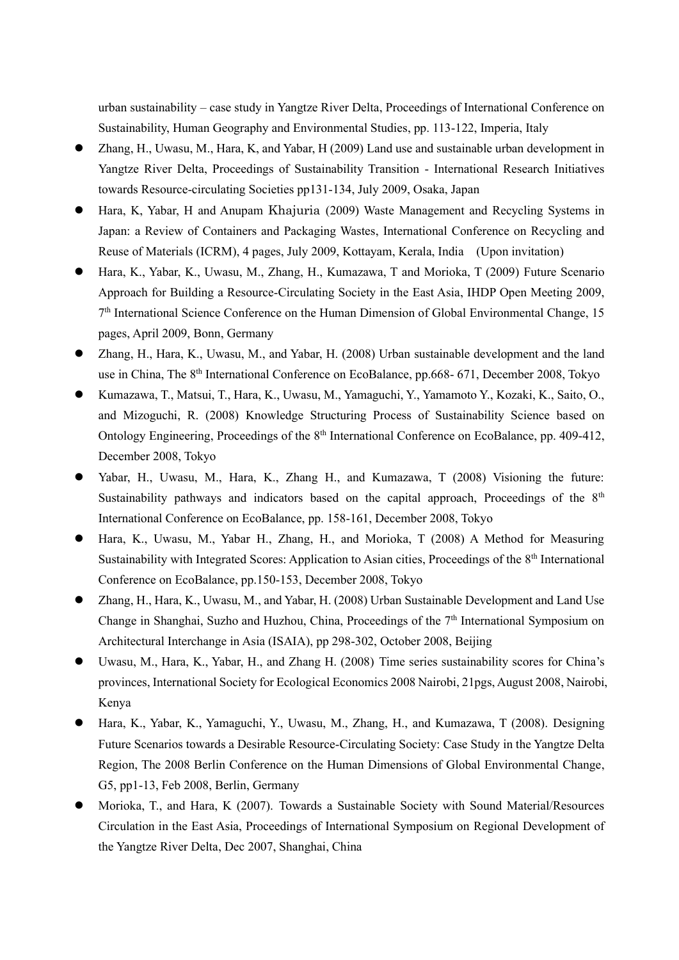urban sustainability – case study in Yangtze River Delta, Proceedings of International Conference on Sustainability, Human Geography and Environmental Studies, pp. 113-122, Imperia, Italy

- Zhang, H., Uwasu, M., Hara, K, and Yabar, H (2009) Land use and sustainable urban development in Yangtze River Delta, Proceedings of Sustainability Transition - International Research Initiatives towards Resource-circulating Societies pp131-134, July 2009, Osaka, Japan
- ⚫ Hara, K, Yabar, H and Anupam Khajuria (2009) Waste Management and Recycling Systems in Japan: a Review of Containers and Packaging Wastes, International Conference on Recycling and Reuse of Materials (ICRM), 4 pages, July 2009, Kottayam, Kerala, India (Upon invitation)
- ⚫ Hara, K., Yabar, K., Uwasu, M., Zhang, H., Kumazawa, T and Morioka, T (2009) Future Scenario Approach for Building a Resource-Circulating Society in the East Asia, IHDP Open Meeting 2009, 7<sup>th</sup> International Science Conference on the Human Dimension of Global Environmental Change, 15 pages, April 2009, Bonn, Germany
- ⚫ Zhang, H., Hara, K., Uwasu, M., and Yabar, H. (2008) Urban sustainable development and the land use in China, The 8<sup>th</sup> International Conference on EcoBalance, pp.668- 671, December 2008, Tokyo
- ⚫ Kumazawa, T., Matsui, T., Hara, K., Uwasu, M., Yamaguchi, Y., Yamamoto Y., Kozaki, K., Saito, O., and Mizoguchi, R. (2008) Knowledge Structuring Process of Sustainability Science based on Ontology Engineering, Proceedings of the 8<sup>th</sup> International Conference on EcoBalance, pp. 409-412, December 2008, Tokyo
- ⚫ Yabar, H., Uwasu, M., Hara, K., Zhang H., and Kumazawa, T (2008) Visioning the future: Sustainability pathways and indicators based on the capital approach, Proceedings of the 8<sup>th</sup> International Conference on EcoBalance, pp. 158-161, December 2008, Tokyo
- Hara, K., Uwasu, M., Yabar H., Zhang, H., and Morioka, T (2008) A Method for Measuring Sustainability with Integrated Scores: Application to Asian cities, Proceedings of the 8<sup>th</sup> International Conference on EcoBalance, pp.150-153, December 2008, Tokyo
- Zhang, H., Hara, K., Uwasu, M., and Yabar, H. (2008) Urban Sustainable Development and Land Use Change in Shanghai, Suzho and Huzhou, China, Proceedings of the 7<sup>th</sup> International Symposium on Architectural Interchange in Asia (ISAIA), pp 298-302, October 2008, Beijing
- ⚫ Uwasu, M., Hara, K., Yabar, H., and Zhang H. (2008) Time series sustainability scores for China's provinces, International Society for Ecological Economics 2008 Nairobi, 21pgs, August 2008, Nairobi, Kenya
- Hara, K., Yabar, K., Yamaguchi, Y., Uwasu, M., Zhang, H., and Kumazawa, T (2008). Designing Future Scenarios towards a Desirable Resource-Circulating Society: Case Study in the Yangtze Delta Region, The 2008 Berlin Conference on the Human Dimensions of Global Environmental Change, G5, pp1-13, Feb 2008, Berlin, Germany
- ⚫ Morioka, T., and Hara, K (2007). Towards a Sustainable Society with Sound Material/Resources Circulation in the East Asia, Proceedings of International Symposium on Regional Development of the Yangtze River Delta, Dec 2007, Shanghai, China